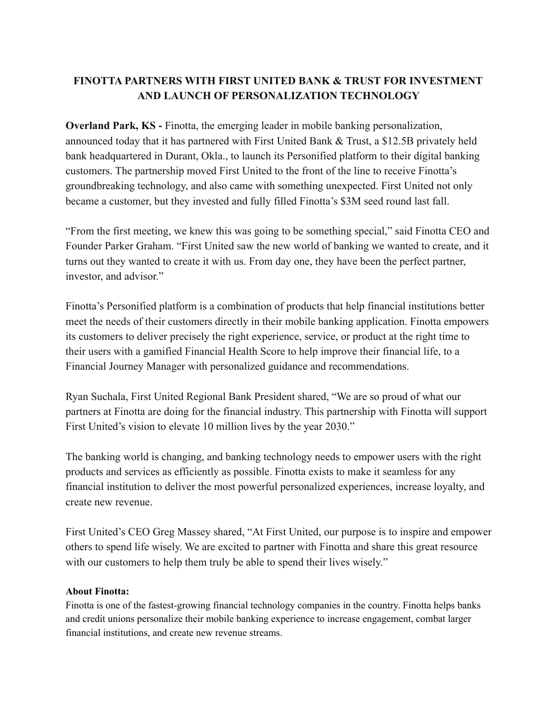## **FINOTTA PARTNERS WITH FIRST UNITED BANK & TRUST FOR INVESTMENT AND LAUNCH OF PERSONALIZATION TECHNOLOGY**

**Overland Park, KS -** Finotta, the emerging leader in mobile banking personalization, announced today that it has partnered with First United Bank & Trust, a \$12.5B privately held bank headquartered in Durant, Okla., to launch its Personified platform to their digital banking customers. The partnership moved First United to the front of the line to receive Finotta's groundbreaking technology, and also came with something unexpected. First United not only became a customer, but they invested and fully filled Finotta's \$3M seed round last fall.

"From the first meeting, we knew this was going to be something special," said Finotta CEO and Founder Parker Graham. "First United saw the new world of banking we wanted to create, and it turns out they wanted to create it with us. From day one, they have been the perfect partner, investor, and advisor."

Finotta's Personified platform is a combination of products that help financial institutions better meet the needs of their customers directly in their mobile banking application. Finotta empowers its customers to deliver precisely the right experience, service, or product at the right time to their users with a gamified Financial Health Score to help improve their financial life, to a Financial Journey Manager with personalized guidance and recommendations.

Ryan Suchala, First United Regional Bank President shared, "We are so proud of what our partners at Finotta are doing for the financial industry. This partnership with Finotta will support First United's vision to elevate 10 million lives by the year 2030."

The banking world is changing, and banking technology needs to empower users with the right products and services as efficiently as possible. Finotta exists to make it seamless for any financial institution to deliver the most powerful personalized experiences, increase loyalty, and create new revenue.

First United's CEO Greg Massey shared, "At First United, our purpose is to inspire and empower others to spend life wisely. We are excited to partner with Finotta and share this great resource with our customers to help them truly be able to spend their lives wisely."

## **About Finotta:**

Finotta is one of the fastest-growing financial technology companies in the country. Finotta helps banks and credit unions personalize their mobile banking experience to increase engagement, combat larger financial institutions, and create new revenue streams.